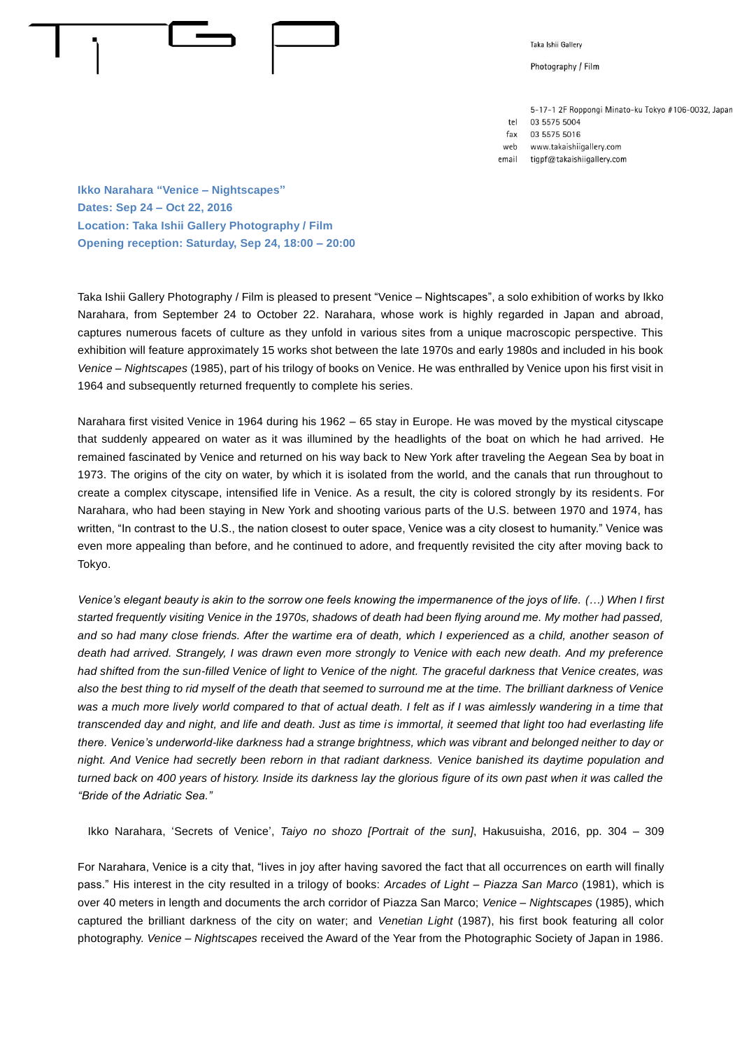

Taka Ishii Gallery

Photography / Film

5-17-1 2F Roppongi Minato-ku Tokyo #106-0032, Japan 03 5575 5004 03 5575 5016

www.takaishiigallery.com web

tel

 $fax$ 

tiqpf@takaishiiqallery.com email

**Ikko Narahara "Venice – Nightscapes" Dates: Sep 24 – Oct 22, 2016 Location: Taka Ishii Gallery Photography / Film Opening reception: Saturday, Sep 24, 18:00 – 20:00**

Taka Ishii Gallery Photography / Film is pleased to present "Venice – Nightscapes", a solo exhibition of works by Ikko Narahara, from September 24 to October 22. Narahara, whose work is highly regarded in Japan and abroad, captures numerous facets of culture as they unfold in various sites from a unique macroscopic perspective. This exhibition will feature approximately 15 works shot between the late 1970s and early 1980s and included in his book *Venice – Nightscapes* (1985), part of his trilogy of books on Venice. He was enthralled by Venice upon his first visit in 1964 and subsequently returned frequently to complete his series.

Narahara first visited Venice in 1964 during his 1962 – 65 stay in Europe. He was moved by the mystical cityscape that suddenly appeared on water as it was illumined by the headlights of the boat on which he had arrived. He remained fascinated by Venice and returned on his way back to New York after traveling the Aegean Sea by boat in 1973. The origins of the city on water, by which it is isolated from the world, and the canals that run throughout to create a complex cityscape, intensified life in Venice. As a result, the city is colored strongly by its resident s. For Narahara, who had been staying in New York and shooting various parts of the U.S. between 1970 and 1974, has written, "In contrast to the U.S., the nation closest to outer space, Venice was a city closest to humanity." Venice was even more appealing than before, and he continued to adore, and frequently revisited the city after moving back to Tokyo.

*Venice's elegant beauty is akin to the sorrow one feels knowing the impermanence of the joys of life. (…) When I first started frequently visiting Venice in the 1970s, shadows of death had been flying around me. My mother had passed,*  and so had many close friends. After the wartime era of death, which I experienced as a child, another season of *death had arrived. Strangely, I was drawn even more strongly to Venice with each new death. And my preference had shifted from the sun-filled Venice of light to Venice of the night. The graceful darkness that Venice creates, was also the best thing to rid myself of the death that seemed to surround me at the time. The brilliant darkness of Venice*  was a much more lively world compared to that of actual death. I felt as if I was aimlessly wandering in a time that *transcended day and night, and life and death. Just as time is immortal, it seemed that light too had everlasting life there. Venice's underworld-like darkness had a strange brightness, which was vibrant and belonged neither to day or night. And Venice had secretly been reborn in that radiant darkness. Venice banished its daytime population and turned back on 400 years of history. Inside its darkness lay the glorious figure of its own past when it was called the "Bride of the Adriatic Sea."* 

Ikko Narahara, 'Secrets of Venice', *Taiyo no shozo [Portrait of the sun]*, Hakusuisha, 2016, pp. 304 – 309

For Narahara, Venice is a city that, "lives in joy after having savored the fact that all occurrences on earth will finally pass." His interest in the city resulted in a trilogy of books: *Arcades of Light – Piazza San Marco* (1981), which is over 40 meters in length and documents the arch corridor of Piazza San Marco; *Venice – Nightscapes* (1985), which captured the brilliant darkness of the city on water; and *Venetian Light* (1987), his first book featuring all color photography. *Venice – Nightscapes* received the Award of the Year from the Photographic Society of Japan in 1986.